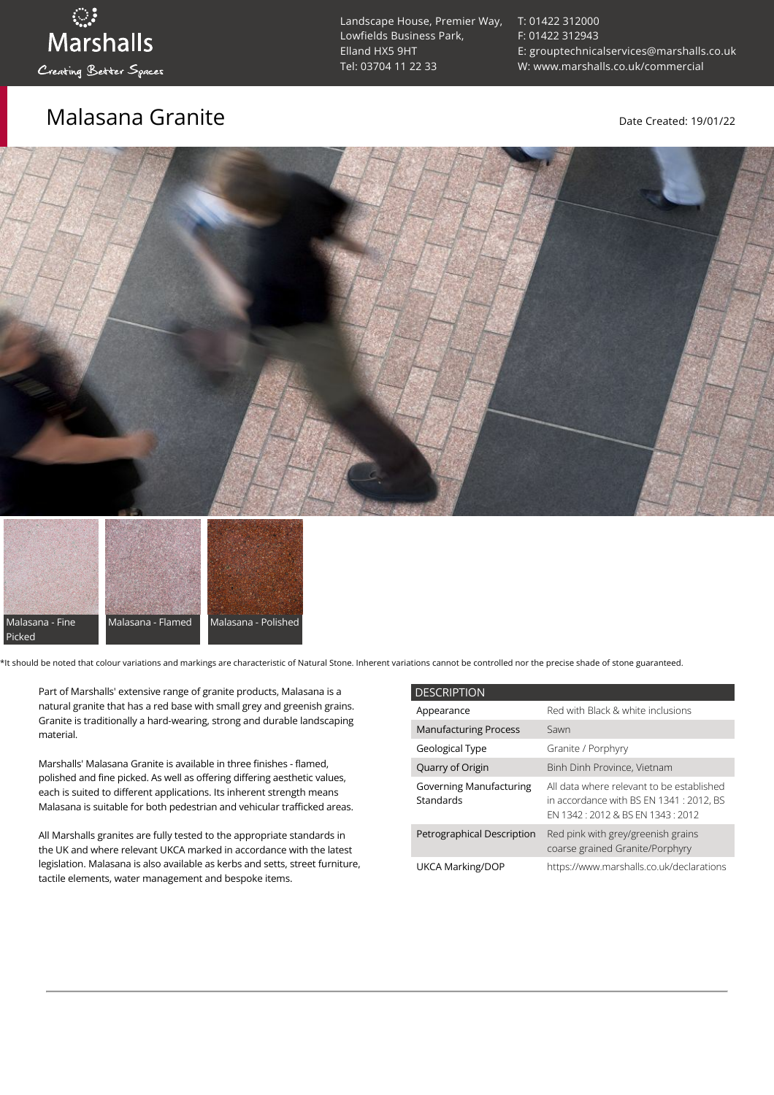### Malasana Granite **Malasana Granite** Date Created: 19/01/22

[T: 01422 312000](tel:01422%20312000) [F: 01422 312943](tel:01422%20312943) [E: grouptechnicalservices@marshalls.co.uk](mailto:grouptechnicalservices@marshalls.co.uk) [W: www.marshalls.co.uk/commercial](https://www.marshalls.co.uk/commercial)





\*It should be noted that colour variations and markings are characteristic of Natural Stone. Inherent variations cannot be controlled nor the precise shade of stone guaranteed.

Part of Marshalls' extensive range of granite products, Malasana is a natural granite that has a red base with small grey and greenish grains. Granite is traditionally a hard-wearing, strong and durable landscaping material.

Marshalls' Malasana Granite is available in three finishes - flamed, polished and fine picked. As well as offering differing aesthetic values, each is suited to different applications. Its inherent strength means Malasana is suitable for both pedestrian and vehicular trafficked areas.

All Marshalls granites are fully tested to the appropriate standards in the UK and where relevant UKCA marked in accordance with the latest legislation. Malasana is also available as kerbs and setts, street furniture, tactile elements, water management and bespoke items.

| <b>DESCRIPTION</b>                          |                                                                                                                           |
|---------------------------------------------|---------------------------------------------------------------------------------------------------------------------------|
| Appearance                                  | Red with Black & white inclusions                                                                                         |
| <b>Manufacturing Process</b>                | Sawn                                                                                                                      |
| Geological Type                             | Granite / Porphyry                                                                                                        |
| Quarry of Origin                            | Binh Dinh Province, Vietnam                                                                                               |
| <b>Governing Manufacturing</b><br>Standards | All data where relevant to be established<br>in accordance with BS EN 1341 : 2012, BS<br>FN 1342 12012 & BS FN 1343 12012 |
| Petrographical Description                  | Red pink with grey/greenish grains<br>coarse grained Granite/Porphyry                                                     |
| UKCA Marking/DOP                            | https://www.marshalls.co.uk/declarations                                                                                  |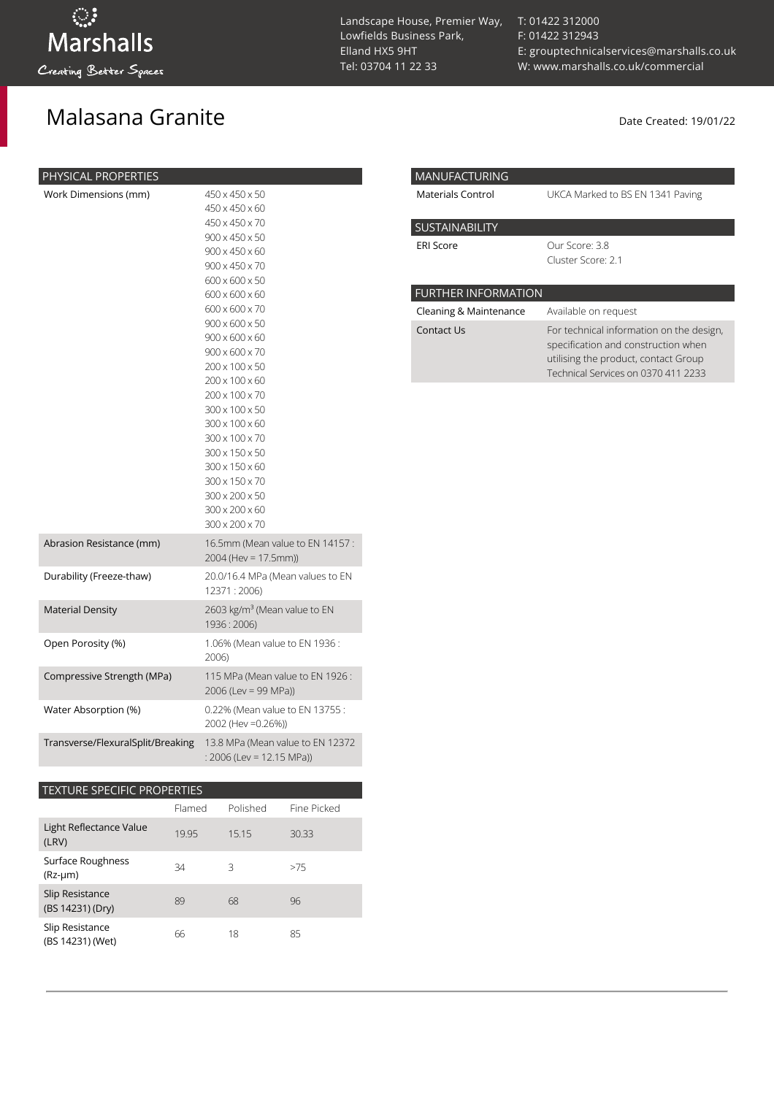# Malasana Granite and California and Date Created: 19/01/22

| PHYSICAL PROPERTIES               |                                                                                                                                                                                                                                                                                                                                                                                                                                                                                              |
|-----------------------------------|----------------------------------------------------------------------------------------------------------------------------------------------------------------------------------------------------------------------------------------------------------------------------------------------------------------------------------------------------------------------------------------------------------------------------------------------------------------------------------------------|
| Work Dimensions (mm)              | 450 x 450 x 50<br>450 x 450 x 60<br>450 x 450 x 70<br>900 x 450 x 50<br>900 x 450 x 60<br>900 x 450 x 70<br>600 x 600 x 50<br>600 x 600 x 60<br>600 x 600 x 70<br>$900 \times 600 \times 50$<br>$900 \times 600 \times 60$<br>$900 \times 600 \times 70$<br>200 x 100 x 50<br>200 x 100 x 60<br>200 x 100 x 70<br>300 x 100 x 50<br>300 x 100 x 60<br>300 x 100 x 70<br>300 x 150 x 50<br>300 x 150 x 60<br>300 x 150 x 70<br>300 x 200 x 50<br>300 x 200 x 60<br>$300 \times 200 \times 70$ |
| Abrasion Resistance (mm)          | 16.5mm (Mean value to EN 14157 :<br>2004 (Hev = 17.5mm))                                                                                                                                                                                                                                                                                                                                                                                                                                     |
| Durability (Freeze-thaw)          | 20.0/16.4 MPa (Mean values to EN<br>12371 : 2006)                                                                                                                                                                                                                                                                                                                                                                                                                                            |
| <b>Material Density</b>           | 2603 kg/m <sup>3</sup> (Mean value to EN<br>1936:2006)                                                                                                                                                                                                                                                                                                                                                                                                                                       |
| Open Porosity (%)                 | 1.06% (Mean value to EN 1936:<br>2006)                                                                                                                                                                                                                                                                                                                                                                                                                                                       |
| Compressive Strength (MPa)        | 115 MPa (Mean value to EN 1926:<br>$2006$ (Lev = 99 MPa))                                                                                                                                                                                                                                                                                                                                                                                                                                    |
| Water Absorption (%)              | 0.22% (Mean value to EN 13755:<br>2002 (Hev = 0.26%))                                                                                                                                                                                                                                                                                                                                                                                                                                        |
| Transverse/FlexuralSplit/Breaking | 13.8 MPa (Mean value to EN 12372<br>: 2006 (Lev = 12.15 MPa))                                                                                                                                                                                                                                                                                                                                                                                                                                |

### TEXTURE SPECIFIC PROPERTIES

|                                     | Flamed | Polished | Fine Picked |
|-------------------------------------|--------|----------|-------------|
| Light Reflectance Value<br>(LRV)    | 19.95  | 15.15    | 30.33       |
| Surface Roughness<br>$(Rz-µm)$      | 34     | 3        | >75         |
| Slip Resistance<br>(BS 14231) (Dry) | 89     | 68       | 96          |
| Slip Resistance<br>(BS 14231) (Wet) | 66     | 18       | 85          |

Landscape House, Premier Way, Lowfields Business Park, Elland HX5 9HT [Tel: 03704 11 22 33](tel:03704112233)

[T: 01422 312000](tel:01422%20312000) [F: 01422 312943](tel:01422%20312943) [E: grouptechnicalservices@marshalls.co.uk](mailto:grouptechnicalservices@marshalls.co.uk) [W: www.marshalls.co.uk/commercial](https://www.marshalls.co.uk/commercial)

| <b>MANUFACTURING</b>       |                                                                                                                                                                |
|----------------------------|----------------------------------------------------------------------------------------------------------------------------------------------------------------|
| Materials Control          | UKCA Marked to BS EN 1341 Paving                                                                                                                               |
| <b>SUSTAINABILITY</b>      |                                                                                                                                                                |
| <b>ERI Score</b>           | Our Score: 3.8<br>Cluster Score: 2.1                                                                                                                           |
|                            |                                                                                                                                                                |
| <b>FURTHER INFORMATION</b> |                                                                                                                                                                |
| Cleaning & Maintenance     | Available on request                                                                                                                                           |
| Contact Us                 | For technical information on the design,<br>specification and construction when<br>utilising the product, contact Group<br>Technical Services on 0370 411 2233 |